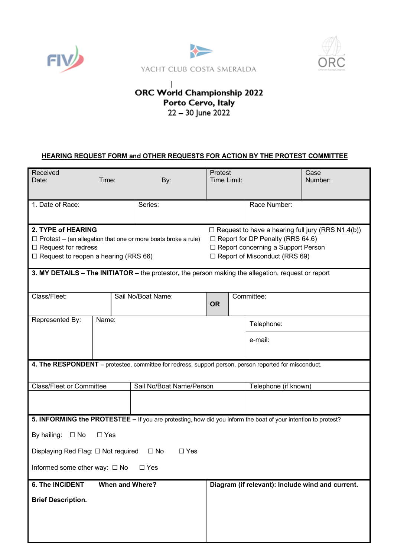





## $\overline{1}$ ORC World Championship 2022 Porto Cervo, Italy<br>22 – 30 June 2022

## **HEARING REQUEST FORM and OTHER REQUESTS FOR ACTION BY THE PROTEST COMMITTEE**

| Received<br>Date:<br>Time:                                                                                                                                              |  | By:                      | Protest<br>Time Limit:                                                                                                                                                              |                      |                                                  | Case<br>Number: |  |
|-------------------------------------------------------------------------------------------------------------------------------------------------------------------------|--|--------------------------|-------------------------------------------------------------------------------------------------------------------------------------------------------------------------------------|----------------------|--------------------------------------------------|-----------------|--|
| 1. Date of Race:                                                                                                                                                        |  | Series:                  |                                                                                                                                                                                     |                      | Race Number:                                     |                 |  |
| 2. TYPE of HEARING<br>$\Box$ Protest – (an allegation that one or more boats broke a rule)<br>$\Box$ Request for redress<br>$\Box$ Request to reopen a hearing (RRS 66) |  |                          | $\Box$ Request to have a hearing full jury (RRS N1.4(b))<br>$\Box$ Report for DP Penalty (RRS 64.6)<br>□ Report concerning a Support Person<br>$\Box$ Report of Misconduct (RRS 69) |                      |                                                  |                 |  |
| 3. MY DETAILS - The INITIATOR - the protestor, the person making the allegation, request or report                                                                      |  |                          |                                                                                                                                                                                     |                      |                                                  |                 |  |
| Class/Fleet:                                                                                                                                                            |  | Sail No/Boat Name:       | <b>OR</b>                                                                                                                                                                           | Committee:           |                                                  |                 |  |
| Represented By:<br>Name:                                                                                                                                                |  |                          |                                                                                                                                                                                     |                      | Telephone:                                       |                 |  |
|                                                                                                                                                                         |  |                          |                                                                                                                                                                                     |                      | e-mail:                                          |                 |  |
| 4. The RESPONDENT - protestee, committee for redress, support person, person reported for misconduct.                                                                   |  |                          |                                                                                                                                                                                     |                      |                                                  |                 |  |
| <b>Class/Fleet or Committee</b>                                                                                                                                         |  | Sail No/Boat Name/Person |                                                                                                                                                                                     | Telephone (if known) |                                                  |                 |  |
| 5. INFORMING the PROTESTEE - If you are protesting, how did you inform the boat of your intention to protest?<br>By hailing:<br>$\square$ No<br>$\Box$ Yes              |  |                          |                                                                                                                                                                                     |                      |                                                  |                 |  |
| $\Box$ No<br>$\Box$ Yes<br>Displaying Red Flag: $\Box$ Not required                                                                                                     |  |                          |                                                                                                                                                                                     |                      |                                                  |                 |  |
| Informed some other way: $\Box$ No<br>$\square$ Yes                                                                                                                     |  |                          |                                                                                                                                                                                     |                      |                                                  |                 |  |
| <b>6. The INCIDENT</b><br><b>When and Where?</b>                                                                                                                        |  |                          |                                                                                                                                                                                     |                      | Diagram (if relevant): Include wind and current. |                 |  |
| <b>Brief Description.</b>                                                                                                                                               |  |                          |                                                                                                                                                                                     |                      |                                                  |                 |  |